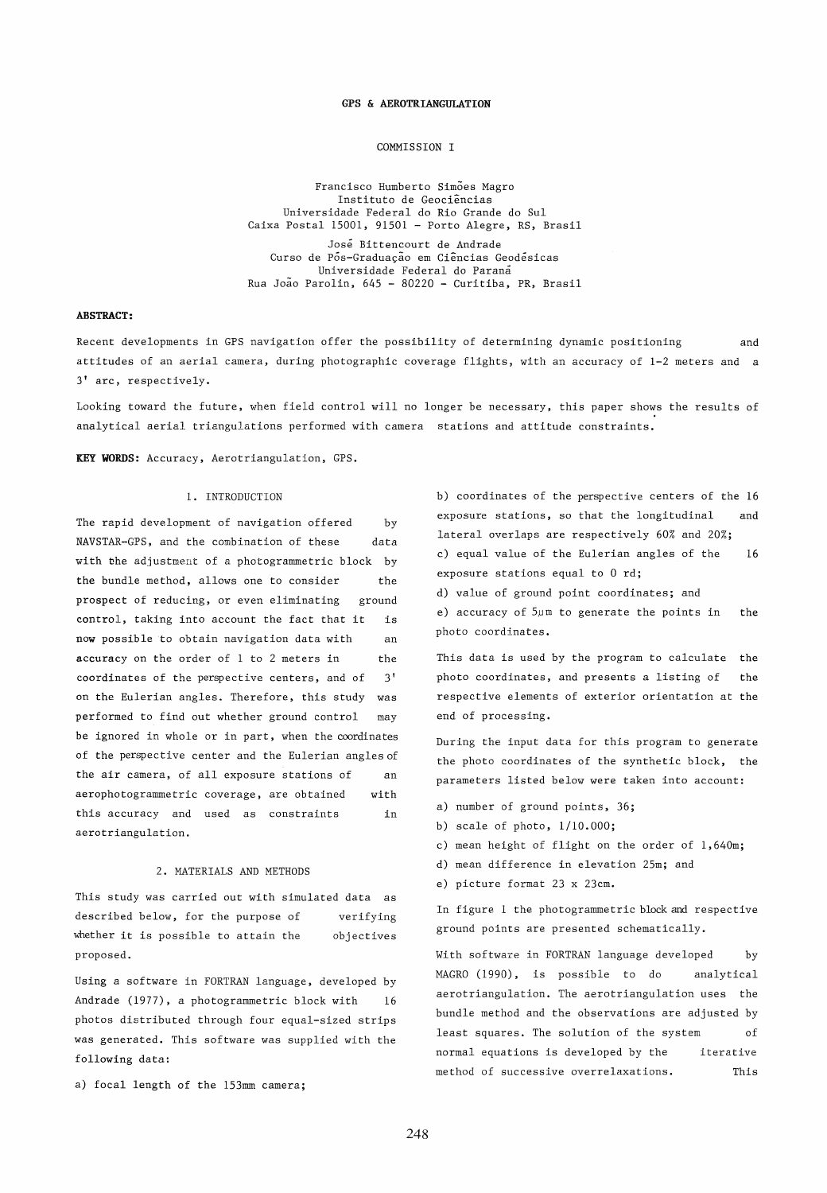#### GPS & AEROTRIANGULATION

#### COMMISSION I

Francisco Humberto Simoes Magro Instituto de Geociências Universidade Federal do Rio Grande do Sul Caixa Postal 15001, 91501 - Porto Alegre, RS, Brasil Jose Bittencourt de Andrade Curso de Pos-Graduação em Ciências Geodesicas Universidade Federal do Parana Rua Joao Parolin, 645 - 80220 - Curitiba, PR, Brasil

## ABSTRACT:

Recent developments in GPS navigation offer the possibility of determining dynamic positioning and attitudes of an aerial camera, during photographic coverage flights, with an accuracy of 1-2 meters and a 3' arc, respectively.

Looking toward the future, when field control will no longer be necessary, this paper shows the results of analytical aerial triangulations performed with camera stations and attitude constraints.

KEY WORDS: Accuracy, Aerotriangulation, GPS.

# 1. INTRODUCTION

The rapid development of navigation offered NAVSTAR-GPS, and the combination of these by data with bhe adjustment of a photogrammetric block by the bundle method, allows one to consider the prospect of reducing, or even eliminating ground control, taking into account the fact that it now possible to obtain navigation data with is an accuracy on the order of 1 to 2 meters in the coordinates of the perspective centers, and of 3' on the Eulerian angles. Therefore, this study was performed to find out whether ground control may be ignored in whole or in part, when the coordinates of the perspective center and the Eulerian angles of the air camera, of all exposure stations of aerophotogrammetric coverage, are obtained this accuracy and used as constraints aerotriangulation. an with in

# 2. MATERIALS AND METHODS

This study was carried out with simulated data as described below, for the purpose of whether it is possible to attain the proposed. verifying objectives

Using a software in FORTRAN language, developed by Andrade (1977), a photogrammetric block with 16 photos distributed through four equal-sized strips was generated. This software was supplied with the following data:

a) focal length of the 153mm camera;

b) coordinates of the perspective centers of the 16 exposure stations, so that the longitudinal lateral overlaps are respectively 60% and 20%; c) equal value of the Eulerian angles of the exposure stations equal to 0 rd; d) value of ground point coordinates; and e) accuracy of 5µm to generate the points in and 16 the

photo coordinates.

This data is used by the program to calculate the photo coordinates, and presents a listing of the respective elements of exterior orientation at the end of processing.

During the input data for this program to generate the photo coordinates of the synthetic block, the parameters listed below were taken into account:

- a) number of ground points, 36;
- b) scale of photo, 1/10.000;
- c) mean height of flight on the order of 1,640m;
- d) mean difference in elevation 25m; and
- e) picture format 23 x 23cm.

In figure 1 the photogrammetric block and respective ground points are presented schematically.

With software in FORTRAN language developed by MAGRO (1990), is possible to do analytical aerotriangulation. The aerotriangulation uses the bundle method and the observations are adjusted by least squares. The solution of the system of normal equations is developed by the iterative method of successive overrelaxations. This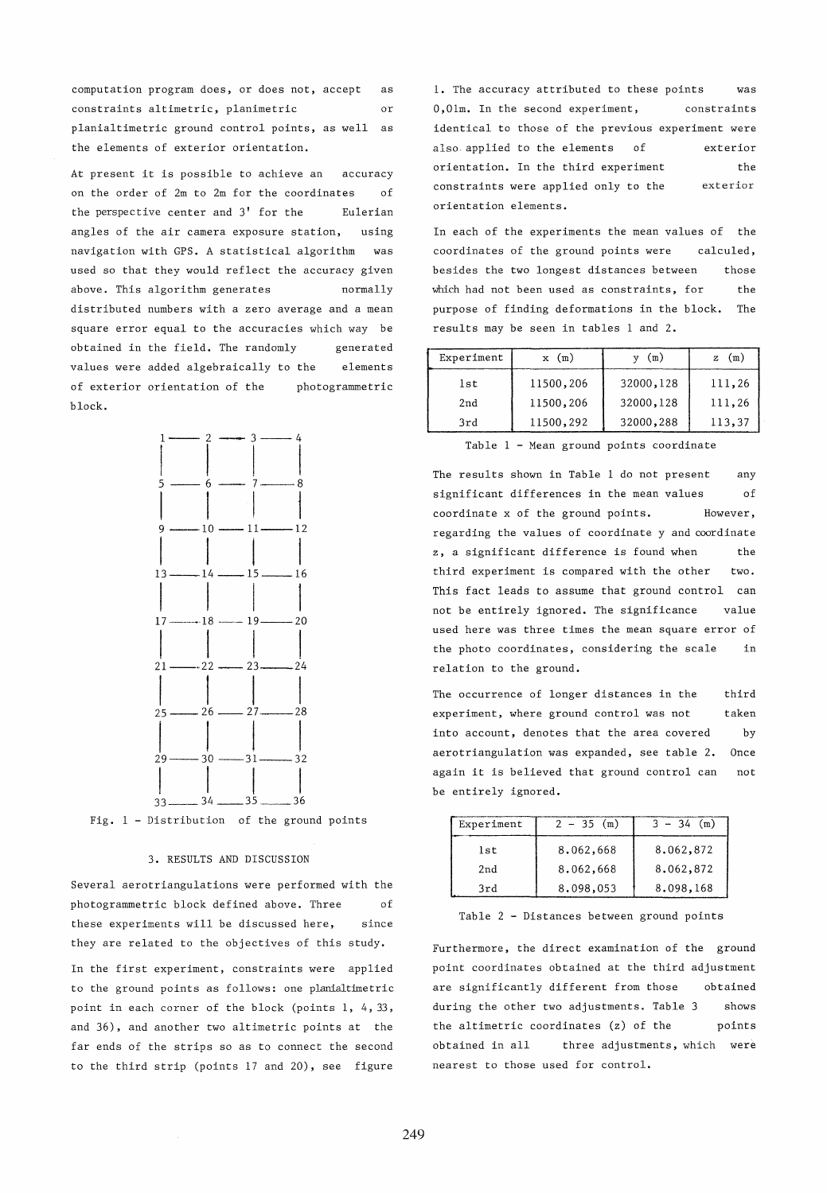computation program does, or does not, accept constraints altimetric, planimetric as or planialtimetric ground control points, as well as the elements of exterior orientation.

At present it is possible to achieve an accuracy on the order of 2m to 2m for the coordinates of the perspective center and 3' for the Eulerian angles of the air camera exposure station, navigation with *CPS.* A statistical algorithm using was used so that they would reflect the accuracy given above. This algorithm generates normally distributed numbers with a zero average and a mean square error equal to the accuracies which way be obtained in the field. The randomly values were added algebraically to the generated elements of exterior orientation of the photogrammetric block.



Fig. 1 - Distribution of the ground points

#### 3. RESULTS AND DISCUSSION

Several aerotriangulations were performed with the phatogrammetric block defined above. Three of these experiments will be discussed here, since they are related to the objectives of this study. In the first experiment, constraints were applied to the ground points as follows: one planialtimetric point in each corner of the block (points 1, 4, 33, and 36), and another two altimetric points at the far ends of the strips so as to connect the second to the third strip (points 17 and 20), see figure 1. The accuracy attributed to these points was O,Olm. In the second experiment, constraints identical to those of the previous experiment were also applied to the elements of orientation. In the third experiment constraints were applied only to the orientation elements. exterior the exterior

In each of the experiments the mean values of the coordinates of the ground points were calculed, besides the two longest distances between Which had not been used as constraints, for those the purpose of finding deformations in the block. The results may be seen in tables 1 and 2.

| Experiment | $x \text{ (m)}$ | (m)       | (m)    |
|------------|-----------------|-----------|--------|
| lst        | 11500,206       | 32000,128 | 111,26 |
| 2nd        | 11500,206       | 32000,128 | 111,26 |
| 3rd        | 11500,292       | 32000,288 | 113,37 |

Table 1 - Mean ground points coordinate

The results shown in Table 1 do not present any significant differences in the mean values of coordinate x of the ground points. However, regarding the values of coordinate y and coordinate z, a significant difference is found when the third experiment is compared with the other two. This fact leads to assume that ground control can not be entirely ignored. The significance value used here was three times the mean square error of the photo coordinates, considering the scale in relation to the ground.

The occurrence of longer distances in the third experiment, where ground control was not taken into account, denotes that the area covered by aerotriangulation was expanded, see table 2. Once again it is believed that ground control can not be entirely ignored.

| Experiment | $2 - 35$ (m) | $3 - 34$ (m) |
|------------|--------------|--------------|
| lst        | 8,062,668    | 8.062,872    |
| 2nd        | 8.062.668    | 8.062.872    |
| 3rd        | 8.098.053    | 8.098.168    |

Table 2 - Distances between ground points

Furthermore, the direct examination of the ground point coordinates obtained at the third adjustment are significantly different from those obtained during the other two adjustments. Table 3 shows the altimetric coordinates (z) of the points obtained in all three adjustments, which were nearest to those used for control.